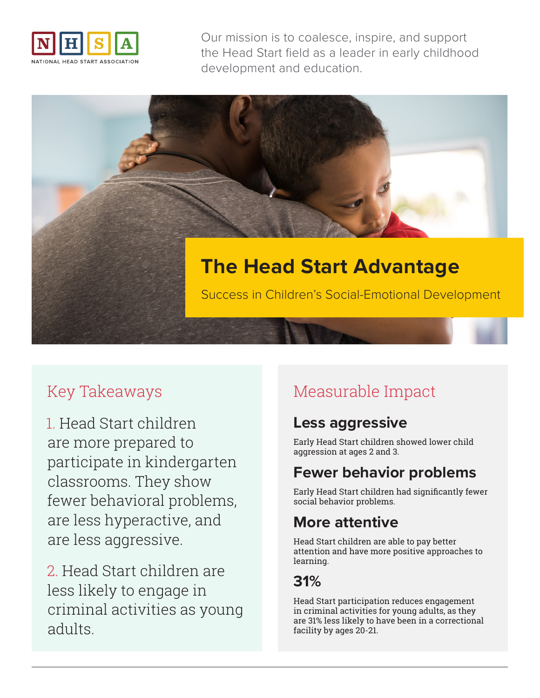

Our mission is to coalesce, inspire, and support the Head Start field as a leader in early childhood development and education.

# **The Head Start Advantage** Success in Children's Social-Emotional Development

## Key Takeaways

1. Head Start children are more prepared to participate in kindergarten classrooms. They show fewer behavioral problems, are less hyperactive, and are less aggressive.

2. Head Start children are less likely to engage in criminal activities as young adults.

# Measurable Impact

#### **Less aggressive**

Early Head Start children showed lower child aggression at ages 2 and 3.

## **Fewer behavior problems**

Early Head Start children had significantly fewer social behavior problems.

## **More attentive**

Head Start children are able to pay better attention and have more positive approaches to learning.

#### **31%**

Head Start participation reduces engagement in criminal activities for young adults, as they are 31% less likely to have been in a correctional facility by ages 20-21.